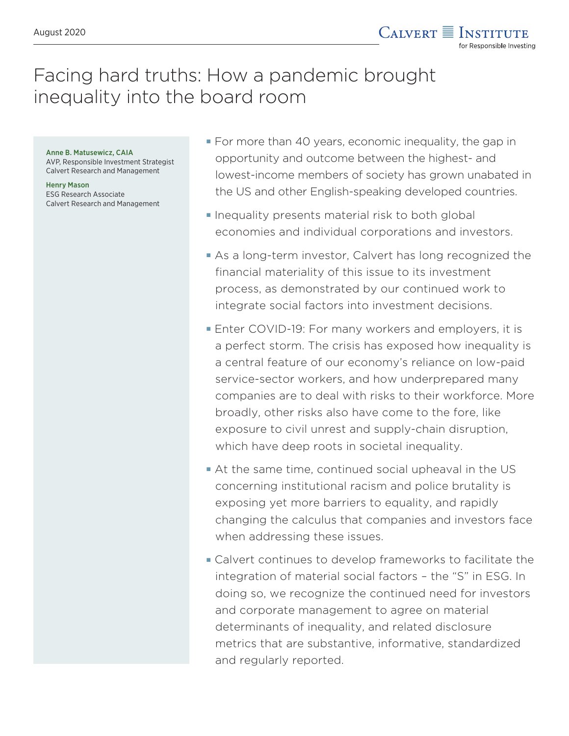## Facing hard truths: How a pandemic brought inequality into the board room

Anne B. Matusewicz, CAIA AVP, Responsible Investment Strategist Calvert Research and Management

Henry Mason ESG Research Associate Calvert Research and Management

- For more than 40 years, economic inequality, the gap in opportunity and outcome between the highest- and lowest-income members of society has grown unabated in the US and other English-speaking developed countries.
- **Inequality presents material risk to both global** economies and individual corporations and investors.
- As a long-term investor, Calvert has long recognized the financial materiality of this issue to its investment process, as demonstrated by our continued work to integrate social factors into investment decisions.
- Enter COVID-19: For many workers and employers, it is a perfect storm. The crisis has exposed how inequality is a central feature of our economy's reliance on low-paid service-sector workers, and how underprepared many companies are to deal with risks to their workforce. More broadly, other risks also have come to the fore, like exposure to civil unrest and supply-chain disruption, which have deep roots in societal inequality.
- At the same time, continued social upheaval in the US concerning institutional racism and police brutality is exposing yet more barriers to equality, and rapidly changing the calculus that companies and investors face when addressing these issues.
- Calvert continues to develop frameworks to facilitate the integration of material social factors – the "S" in ESG. In doing so, we recognize the continued need for investors and corporate management to agree on material determinants of inequality, and related disclosure metrics that are substantive, informative, standardized and regularly reported.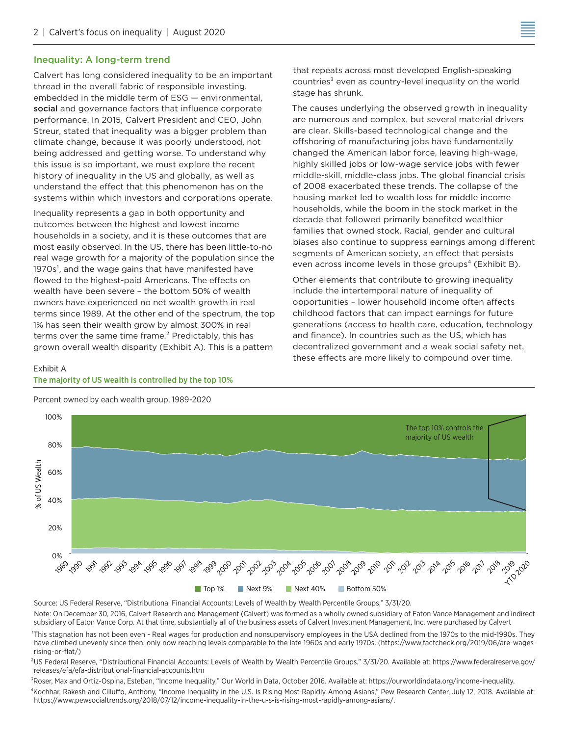#### Inequality: A long-term trend

Calvert has long considered inequality to be an important thread in the overall fabric of responsible investing, embedded in the middle term of ESG — environmental, social and governance factors that influence corporate performance. In 2015, Calvert President and CEO, John Streur, stated that inequality was a bigger problem than climate change, because it was poorly understood, not being addressed and getting worse. To understand why this issue is so important, we must explore the recent history of inequality in the US and globally, as well as understand the effect that this phenomenon has on the systems within which investors and corporations operate.

Inequality represents a gap in both opportunity and outcomes between the highest and lowest income households in a society, and it is these outcomes that are most easily observed. In the US, there has been little-to-no real wage growth for a majority of the population since the  $1970s<sup>1</sup>$ , and the wage gains that have manifested have flowed to the highest-paid Americans. The effects on wealth have been severe – the bottom 50% of wealth owners have experienced no net wealth growth in real terms since 1989. At the other end of the spectrum, the top 1% has seen their wealth grow by almost 300% in real terms over the same time frame.² Predictably, this has grown overall wealth disparity (Exhibit A). This is a pattern

that repeats across most developed English-speaking countries $3$  even as country-level inequality on the world stage has shrunk.

The causes underlying the observed growth in inequality are numerous and complex, but several material drivers are clear. Skills-based technological change and the offshoring of manufacturing jobs have fundamentally changed the American labor force, leaving high-wage, highly skilled jobs or low-wage service jobs with fewer middle-skill, middle-class jobs. The global financial crisis of 2008 exacerbated these trends. The collapse of the housing market led to wealth loss for middle income households, while the boom in the stock market in the decade that followed primarily benefited wealthier families that owned stock. Racial, gender and cultural biases also continue to suppress earnings among different segments of American society, an effect that persists even across income levels in those groups<sup>4</sup> (Exhibit B).

Other elements that contribute to growing inequality include the intertemporal nature of inequality of opportunities – lower household income often affects childhood factors that can impact earnings for future generations (access to health care, education, technology and finance). In countries such as the US, which has decentralized government and a weak social safety net, these effects are more likely to compound over time.

#### Exhibit A The majority of US wealth is controlled by the top 10%



Percent owned by each wealth group, 1989-2020

Source: US Federal Reserve, "Distributional Financial Accounts: Levels of Wealth by Wealth Percentile Groups," 3/31/20. Note: On December 30, 2016, Calvert Research and Management (Calvert) was formed as a wholly owned subsidiary of Eaton Vance Management and indirect

<sup>1</sup>This stagnation has not been even - Real wages for production and nonsupervisory employees in the USA declined from the 1970s to the mid-1990s. They have climbed unevenly since then, only now reaching levels comparable to the late 1960s and early 1970s. (https://www.factcheck.org/2019/06/are-wagesrising-or-flat/)

²US Federal Reserve, "Distributional Financial Accounts: Levels of Wealth by Wealth Percentile Groups," 3/31/20. Available at: https://www.federalreserve.gov/ releases/efa/efa-distributional-financial-accounts.htm

<sup>3</sup>Roser, Max and Ortiz-Ospina, Esteban, "Income Inequality," Our World in Data, October 2016. Available at: https://ourworldindata.org/income-inequality.

⁴Kochhar, Rakesh and Cilluffo, Anthony, "Income Inequality in the U.S. Is Rising Most Rapidly Among Asians," Pew Research Center, July 12, 2018. Available at: https://www.pewsocialtrends.org/2018/07/12/income-inequality-in-the-u-s-is-rising-most-rapidly-among-asians/.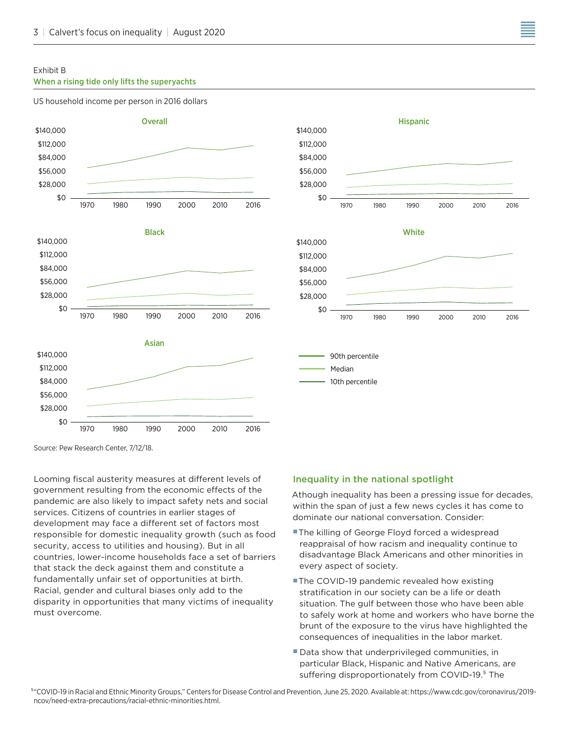#### Exhibit B

#### When a rising tide only lifts the superyachts

#### US household income per person in 2016 dollars





Looming fiscal austerity measures at different levels of government resulting from the economic effects of the pandemic are also likely to impact safety nets and social services. Citizens of countries in earlier stages of development may face a different set of factors most responsible for domestic inequality growth (such as food security, access to utilities and housing). But in all countries, lower-income households face a set of barriers that stack the deck against them and constitute a fundamentally unfair set of opportunities at birth. Racial, gender and cultural biases only add to the disparity in opportunities that many victims of inequality must overcome.

# 10th percentile

1970 1980 1990 2000 2010 2016

1970 1980 1990 2000 2010 2016

#### Inequality in the national spotlight

\$0 \$28,000 \$56,000 \$84,000 \$112,000

 $$0$ \$28,000 \$56,000 \$84,000 \$112,000

> 90th percentile Median

Athough inequality has been a pressing issue for decades, within the span of just a few news cycles it has come to dominate our national conversation. Consider:

- **The killing of George Floyd forced a widespread** reappraisal of how racism and inequality continue to disadvantage Black Americans and other minorities in every aspect of society.
- **The COVID-19 pandemic revealed how existing** stratification in our society can be a life or death situation. The gulf between those who have been able to safely work at home and workers who have borne the brunt of the exposure to the virus have highlighted the consequences of inequalities in the labor market.
- Data show that underprivileged communities, in particular Black, Hispanic and Native Americans, are suffering disproportionately from COVID-19.<sup>5</sup> The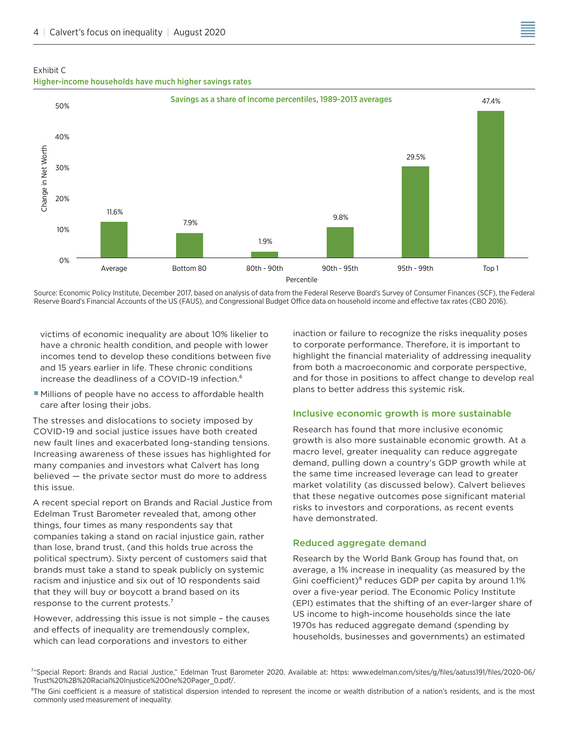



Source: Economic Policy Institute, December 2017, based on analysis of data from the Federal Reserve Board's Survey of Consumer Finances (SCF), the Federal Reserve Board's Financial Accounts of the US (FAUS), and Congressional Budget Office data on household income and effective tax rates (CBO 2016).

victims of economic inequality are about 10% likelier to have a chronic health condition, and people with lower incomes tend to develop these conditions between five and 15 years earlier in life. These chronic conditions increase the deadliness of a COVID-19 infection.<sup>6</sup>

**Millions of people have no access to affordable health** care after losing their jobs.

The stresses and dislocations to society imposed by COVID-19 and social justice issues have both created new fault lines and exacerbated long-standing tensions. Increasing awareness of these issues has highlighted for many companies and investors what Calvert has long believed — the private sector must do more to address this issue.

A recent special report on Brands and Racial Justice from Edelman Trust Barometer revealed that, among other things, four times as many respondents say that companies taking a stand on racial injustice gain, rather than lose, brand trust, (and this holds true across the political spectrum). Sixty percent of customers said that brands must take a stand to speak publicly on systemic racism and injustice and six out of 10 respondents said that they will buy or boycott a brand based on its response to the current protests.<sup>7</sup>

However, addressing this issue is not simple – the causes and effects of inequality are tremendously complex, which can lead corporations and investors to either

inaction or failure to recognize the risks inequality poses to corporate performance. Therefore, it is important to highlight the financial materiality of addressing inequality from both a macroeconomic and corporate perspective, and for those in positions to affect change to develop real plans to better address this systemic risk.

#### Inclusive economic growth is more sustainable

Research has found that more inclusive economic growth is also more sustainable economic growth. At a macro level, greater inequality can reduce aggregate demand, pulling down a country's GDP growth while at the same time increased leverage can lead to greater market volatility (as discussed below). Calvert believes that these negative outcomes pose significant material risks to investors and corporations, as recent events have demonstrated.

#### Reduced aggregate demand

Research by the World Bank Group has found that, on average, a 1% increase in inequality (as measured by the Gini coefficient)<sup>8</sup> reduces GDP per capita by around 1.1% over a five-year period. The Economic Policy Institute (EPI) estimates that the shifting of an ever-larger share of US income to high-income households since the late 1970s has reduced aggregate demand (spending by households, businesses and governments) an estimated

<sup>8</sup>The Gini coefficient is a measure of statistical dispersion intended to represent the income or wealth distribution of a nation's residents, and is the most commonly used measurement of inequality.

⁷"Special Report: Brands and Racial Justice," Edelman Trust Barometer 2020. Available at: https: www.edelman.com/sites/g/files/aatuss191/files/2020-06/ Trust%20%2B%20Racial%20Injustice%20One%20Pager\_0.pdf/.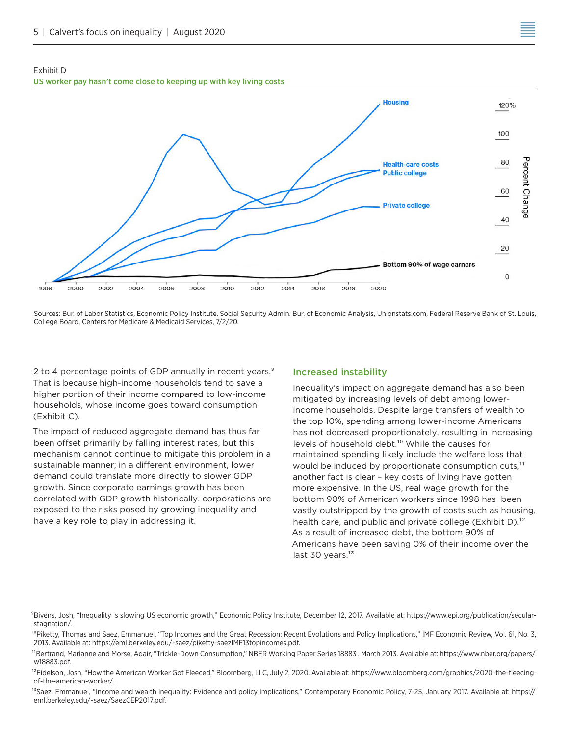#### Exhibit D US worker pay hasn't come close to keeping up with key living costs



Sources: Bur. of Labor Statistics, Economic Policy Institute, Social Security Admin. Bur. of Economic Analysis, Unionstats.com, Federal Reserve Bank of St. Louis, College Board, Centers for Medicare & Medicaid Services, 7/2/20.

2 to 4 percentage points of GDP annually in recent years.<sup>9</sup> That is because high-income households tend to save a higher portion of their income compared to low-income households, whose income goes toward consumption (Exhibit C).

The impact of reduced aggregate demand has thus far been offset primarily by falling interest rates, but this mechanism cannot continue to mitigate this problem in a sustainable manner; in a different environment, lower demand could translate more directly to slower GDP growth. Since corporate earnings growth has been correlated with GDP growth historically, corporations are exposed to the risks posed by growing inequality and have a key role to play in addressing it.

#### Increased instability

Inequality's impact on aggregate demand has also been mitigated by increasing levels of debt among lowerincome households. Despite large transfers of wealth to the top 10%, spending among lower-income Americans has not decreased proportionately, resulting in increasing levels of household debt.<sup>10</sup> While the causes for maintained spending likely include the welfare loss that would be induced by proportionate consumption cuts, $<sup>11</sup>$ </sup> another fact is clear – key costs of living have gotten more expensive. In the US, real wage growth for the bottom 90% of American workers since 1998 has been vastly outstripped by the growth of costs such as housing, health care, and public and private college (Exhibit  $D$ ).<sup>12</sup> As a result of increased debt, the bottom 90% of Americans have been saving 0% of their income over the last 30 years. $13$ 

<sup>9</sup>Bivens, Josh, "Inequality is slowing US economic growth," Economic Policy Institute, December 12, 2017. Available at: https://www.epi.org/publication/secularstagnation/.

<sup>10</sup>Piketty, Thomas and Saez, Emmanuel, "Top Incomes and the Great Recession: Recent Evolutions and Policy Implications," IMF Economic Review, Vol. 61, No. 3, 2013. Available at: https://eml.berkeley.edu/~saez/piketty-saezIMF13topincomes.pdf.

<sup>11</sup>Bertrand, Marianne and Morse, Adair, "Trickle-Down Consumption," NBER Working Paper Series 18883 , March 2013. Available at: https://www.nber.org/papers/ w18883.pdf.

<sup>12</sup>Eidelson, Josh, "How the American Worker Got Fleeced," Bloomberg, LLC, July 2, 2020. Available at: https://www.bloomberg.com/graphics/2020-the-fleecingof-the-american-worker/.

<sup>13</sup>Saez, Emmanuel, "Income and wealth inequality: Evidence and policy implications," Contemporary Economic Policy, 7-25, January 2017. Available at: https:// eml.berkeley.edu/~saez/SaezCEP2017.pdf.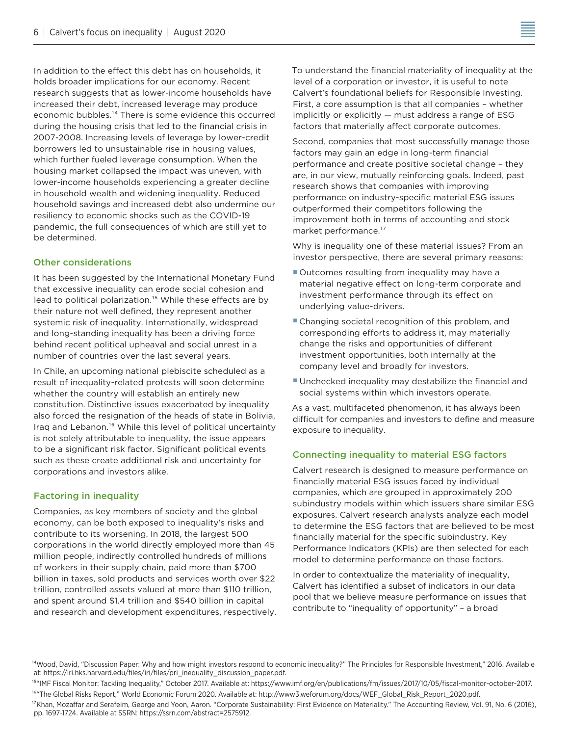In addition to the effect this debt has on households, it holds broader implications for our economy. Recent research suggests that as lower-income households have increased their debt, increased leverage may produce economic bubbles.<sup>14</sup> There is some evidence this occurred during the housing crisis that led to the financial crisis in 2007-2008. Increasing levels of leverage by lower-credit borrowers led to unsustainable rise in housing values, which further fueled leverage consumption. When the housing market collapsed the impact was uneven, with lower-income households experiencing a greater decline in household wealth and widening inequality. Reduced household savings and increased debt also undermine our resiliency to economic shocks such as the COVID-19 pandemic, the full consequences of which are still yet to be determined.

#### Other considerations

It has been suggested by the International Monetary Fund that excessive inequality can erode social cohesion and lead to political polarization.<sup>15</sup> While these effects are by their nature not well defined, they represent another systemic risk of inequality. Internationally, widespread and long-standing inequality has been a driving force behind recent political upheaval and social unrest in a number of countries over the last several years.

In Chile, an upcoming national plebiscite scheduled as a result of inequality-related protests will soon determine whether the country will establish an entirely new constitution. Distinctive issues exacerbated by inequality also forced the resignation of the heads of state in Bolivia, Iraq and Lebanon.<sup>16</sup> While this level of political uncertainty is not solely attributable to inequality, the issue appears to be a significant risk factor. Significant political events such as these create additional risk and uncertainty for corporations and investors alike.

#### Factoring in inequality

Companies, as key members of society and the global economy, can be both exposed to inequality's risks and contribute to its worsening. In 2018, the largest 500 corporations in the world directly employed more than 45 million people, indirectly controlled hundreds of millions of workers in their supply chain, paid more than \$700 billion in taxes, sold products and services worth over \$22 trillion, controlled assets valued at more than \$110 trillion, and spent around \$1.4 trillion and \$540 billion in capital and research and development expenditures, respectively. To understand the financial materiality of inequality at the level of a corporation or investor, it is useful to note Calvert's foundational beliefs for Responsible Investing. First, a core assumption is that all companies – whether implicitly or explicitly — must address a range of ESG factors that materially affect corporate outcomes.

Second, companies that most successfully manage those factors may gain an edge in long-term financial performance and create positive societal change – they are, in our view, mutually reinforcing goals. Indeed, past research shows that companies with improving performance on industry-specific material ESG issues outperformed their competitors following the improvement both in terms of accounting and stock market performance.<sup>17</sup>

Why is inequality one of these material issues? From an investor perspective, there are several primary reasons:

- Outcomes resulting from inequality may have a material negative effect on long-term corporate and investment performance through its effect on underlying value-drivers.
- Changing societal recognition of this problem, and corresponding efforts to address it, may materially change the risks and opportunities of different investment opportunities, both internally at the company level and broadly for investors.
- Unchecked inequality may destabilize the financial and social systems within which investors operate.

As a vast, multifaceted phenomenon, it has always been difficult for companies and investors to define and measure exposure to inequality.

#### Connecting inequality to material ESG factors

Calvert research is designed to measure performance on financially material ESG issues faced by individual companies, which are grouped in approximately 200 subindustry models within which issuers share similar ESG exposures. Calvert research analysts analyze each model to determine the ESG factors that are believed to be most financially material for the specific subindustry. Key Performance Indicators (KPIs) are then selected for each model to determine performance on those factors.

In order to contextualize the materiality of inequality, Calvert has identified a subset of indicators in our data pool that we believe measure performance on issues that contribute to "inequality of opportunity" – a broad

<sup>&</sup>lt;sup>14</sup>Wood, David, "Discussion Paper: Why and how might investors respond to economic inequality?" The Principles for Responsible Investment," 2016. Available at: https://iri.hks.harvard.edu/files/iri/files/pri\_inequality\_discussion\_paper.pdf.

<sup>&</sup>lt;sup>15</sup>"IMF Fiscal Monitor: Tackling Inequality," October 2017. Available at: https://www.imf.org/en/publications/fm/issues/2017/10/05/fiscal-monitor-october-2017. <sup>16</sup>"The Global Risks Report," World Economic Forum 2020. Available at: http://www3.weforum.org/docs/WEF\_Global\_Risk\_Report\_2020.pdf.

<sup>&</sup>lt;sup>17</sup>Khan, Mozaffar and Serafeim, George and Yoon, Aaron. "Corporate Sustainability: First Evidence on Materiality." The Accounting Review, Vol. 91, No. 6 (2016), pp. 1697-1724. Available at SSRN: https://ssrn.com/abstract=2575912.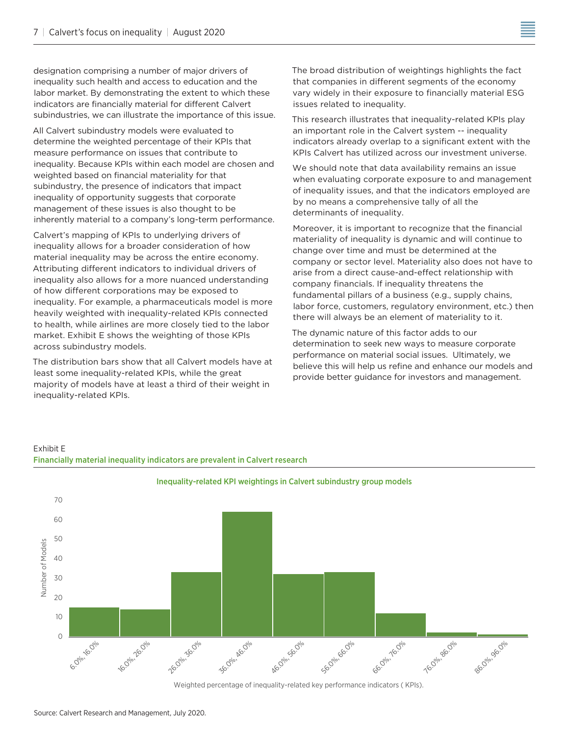designation comprising a number of major drivers of inequality such health and access to education and the labor market. By demonstrating the extent to which these indicators are financially material for different Calvert subindustries, we can illustrate the importance of this issue.

All Calvert subindustry models were evaluated to determine the weighted percentage of their KPIs that measure performance on issues that contribute to inequality. Because KPIs within each model are chosen and weighted based on financial materiality for that subindustry, the presence of indicators that impact inequality of opportunity suggests that corporate management of these issues is also thought to be inherently material to a company's long-term performance.

Calvert's mapping of KPIs to underlying drivers of inequality allows for a broader consideration of how material inequality may be across the entire economy. Attributing different indicators to individual drivers of inequality also allows for a more nuanced understanding of how different corporations may be exposed to inequality. For example, a pharmaceuticals model is more heavily weighted with inequality-related KPIs connected to health, while airlines are more closely tied to the labor market. Exhibit E shows the weighting of those KPIs across subindustry models.

The distribution bars show that all Calvert models have at least some inequality-related KPIs, while the great majority of models have at least a third of their weight in inequality-related KPIs.

Financially material inequality indicators are prevalent in Calvert research

Exhibit E

The broad distribution of weightings highlights the fact that companies in different segments of the economy vary widely in their exposure to financially material ESG issues related to inequality.

This research illustrates that inequality-related KPIs play an important role in the Calvert system -- inequality indicators already overlap to a significant extent with the KPIs Calvert has utilized across our investment universe.

We should note that data availability remains an issue when evaluating corporate exposure to and management of inequality issues, and that the indicators employed are by no means a comprehensive tally of all the determinants of inequality.

Moreover, it is important to recognize that the financial materiality of inequality is dynamic and will continue to change over time and must be determined at the company or sector level. Materiality also does not have to arise from a direct cause-and-effect relationship with company financials. If inequality threatens the fundamental pillars of a business (e.g., supply chains, labor force, customers, regulatory environment, etc.) then there will always be an element of materiality to it.

The dynamic nature of this factor adds to our determination to seek new ways to measure corporate performance on material social issues. Ultimately, we believe this will help us refine and enhance our models and provide better guidance for investors and management.



Weighted percentage of inequality-related key performance indicators ( KPIs).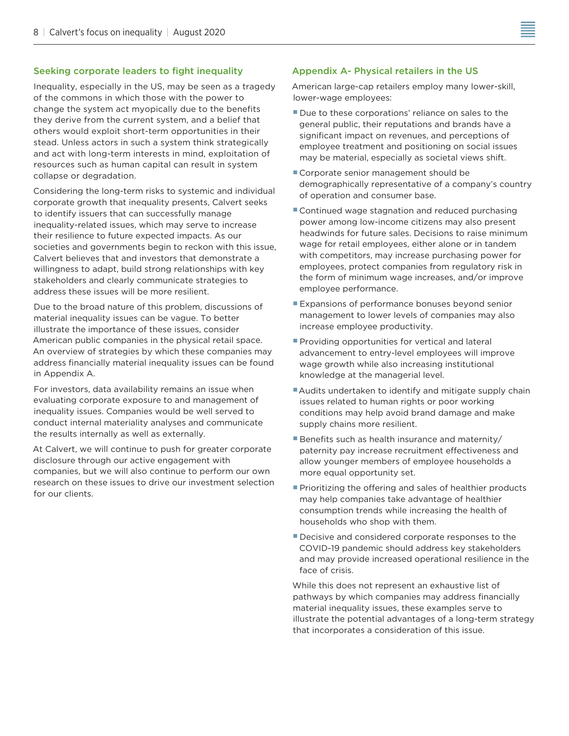### Seeking corporate leaders to fight inequality

Inequality, especially in the US, may be seen as a tragedy of the commons in which those with the power to change the system act myopically due to the benefits they derive from the current system, and a belief that others would exploit short-term opportunities in their stead. Unless actors in such a system think strategically and act with long-term interests in mind, exploitation of resources such as human capital can result in system collapse or degradation.

Considering the long-term risks to systemic and individual corporate growth that inequality presents, Calvert seeks to identify issuers that can successfully manage inequality-related issues, which may serve to increase their resilience to future expected impacts. As our societies and governments begin to reckon with this issue, Calvert believes that and investors that demonstrate a willingness to adapt, build strong relationships with key stakeholders and clearly communicate strategies to address these issues will be more resilient.

Due to the broad nature of this problem, discussions of material inequality issues can be vague. To better illustrate the importance of these issues, consider American public companies in the physical retail space. An overview of strategies by which these companies may address financially material inequality issues can be found in Appendix A.

For investors, data availability remains an issue when evaluating corporate exposure to and management of inequality issues. Companies would be well served to conduct internal materiality analyses and communicate the results internally as well as externally.

At Calvert, we will continue to push for greater corporate disclosure through our active engagement with companies, but we will also continue to perform our own research on these issues to drive our investment selection for our clients.

#### Appendix A- Physical retailers in the US

American large-cap retailers employ many lower-skill, lower-wage employees:

- Due to these corporations' reliance on sales to the general public, their reputations and brands have a significant impact on revenues, and perceptions of employee treatment and positioning on social issues may be material, especially as societal views shift.
- Corporate senior management should be demographically representative of a company's country of operation and consumer base.
- **Continued wage stagnation and reduced purchasing** power among low-income citizens may also present headwinds for future sales. Decisions to raise minimum wage for retail employees, either alone or in tandem with competitors, may increase purchasing power for employees, protect companies from regulatory risk in the form of minimum wage increases, and/or improve employee performance.
- **Expansions of performance bonuses beyond senior** management to lower levels of companies may also increase employee productivity.
- **Providing opportunities for vertical and lateral** advancement to entry-level employees will improve wage growth while also increasing institutional knowledge at the managerial level.
- Audits undertaken to identify and mitigate supply chain issues related to human rights or poor working conditions may help avoid brand damage and make supply chains more resilient.
- Benefits such as health insurance and maternity/ paternity pay increase recruitment effectiveness and allow younger members of employee households a more equal opportunity set.
- **Prioritizing the offering and sales of healthier products** may help companies take advantage of healthier consumption trends while increasing the health of households who shop with them.
- Decisive and considered corporate responses to the COVID-19 pandemic should address key stakeholders and may provide increased operational resilience in the face of crisis.

While this does not represent an exhaustive list of pathways by which companies may address financially material inequality issues, these examples serve to illustrate the potential advantages of a long-term strategy that incorporates a consideration of this issue.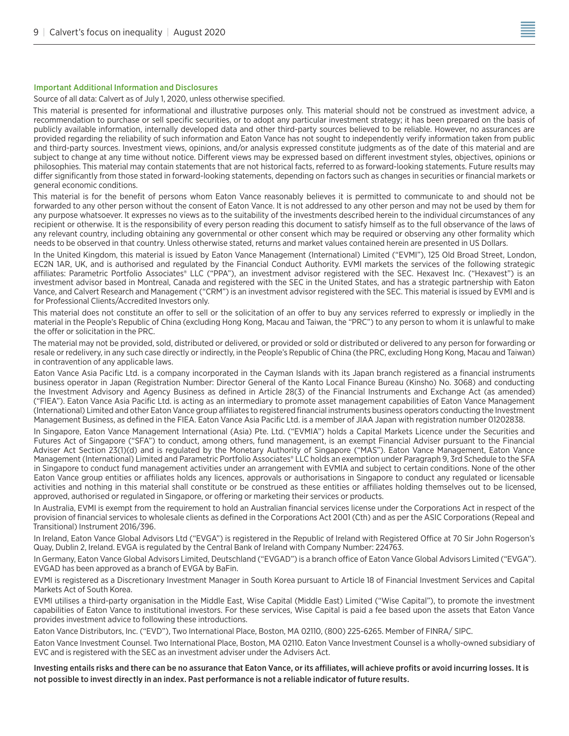#### Important Additional Information and Disclosures

Source of all data: Calvert as of July 1, 2020, unless otherwise specified.

This material is presented for informational and illustrative purposes only. This material should not be construed as investment advice, a recommendation to purchase or sell specific securities, or to adopt any particular investment strategy; it has been prepared on the basis of publicly available information, internally developed data and other third-party sources believed to be reliable. However, no assurances are provided regarding the reliability of such information and Eaton Vance has not sought to independently verify information taken from public and third-party sources. Investment views, opinions, and/or analysis expressed constitute judgments as of the date of this material and are subject to change at any time without notice. Different views may be expressed based on different investment styles, objectives, opinions or philosophies. This material may contain statements that are not historical facts, referred to as forward-looking statements. Future results may differ significantly from those stated in forward-looking statements, depending on factors such as changes in securities or financial markets or general economic conditions.

This material is for the benefit of persons whom Eaton Vance reasonably believes it is permitted to communicate to and should not be forwarded to any other person without the consent of Eaton Vance. It is not addressed to any other person and may not be used by them for any purpose whatsoever. It expresses no views as to the suitability of the investments described herein to the individual circumstances of any recipient or otherwise. It is the responsibility of every person reading this document to satisfy himself as to the full observance of the laws of any relevant country, including obtaining any governmental or other consent which may be required or observing any other formality which needs to be observed in that country. Unless otherwise stated, returns and market values contained herein are presented in US Dollars.

In the United Kingdom, this material is issued by Eaton Vance Management (International) Limited ("EVMI"), 125 Old Broad Street, London, EC2N 1AR, UK, and is authorised and regulated by the Financial Conduct Authority. EVMI markets the services of the following strategic affiliates: Parametric Portfolio Associates® LLC ("PPA"), an investment advisor registered with the SEC. Hexavest Inc. ("Hexavest") is an investment advisor based in Montreal, Canada and registered with the SEC in the United States, and has a strategic partnership with Eaton Vance, and Calvert Research and Management ("CRM") is an investment advisor registered with the SEC. This material is issued by EVMI and is for Professional Clients/Accredited Investors only.

This material does not constitute an offer to sell or the solicitation of an offer to buy any services referred to expressly or impliedly in the material in the People's Republic of China (excluding Hong Kong, Macau and Taiwan, the "PRC") to any person to whom it is unlawful to make the offer or solicitation in the PRC.

The material may not be provided, sold, distributed or delivered, or provided or sold or distributed or delivered to any person for forwarding or resale or redelivery, in any such case directly or indirectly, in the People's Republic of China (the PRC, excluding Hong Kong, Macau and Taiwan) in contravention of any applicable laws.

Eaton Vance Asia Pacific Ltd. is a company incorporated in the Cayman Islands with its Japan branch registered as a financial instruments business operator in Japan (Registration Number: Director General of the Kanto Local Finance Bureau (Kinsho) No. 3068) and conducting the Investment Advisory and Agency Business as defined in Article 28(3) of the Financial Instruments and Exchange Act (as amended) ("FIEA"). Eaton Vance Asia Pacific Ltd. is acting as an intermediary to promote asset management capabilities of Eaton Vance Management (International) Limited and other Eaton Vance group affiliates to registered financial instruments business operators conducting the Investment Management Business, as defined in the FIEA. Eaton Vance Asia Pacific Ltd. is a member of JIAA Japan with registration number 01202838.

In Singapore, Eaton Vance Management International (Asia) Pte. Ltd. ("EVMIA") holds a Capital Markets Licence under the Securities and Futures Act of Singapore ("SFA") to conduct, among others, fund management, is an exempt Financial Adviser pursuant to the Financial Adviser Act Section 23(1)(d) and is regulated by the Monetary Authority of Singapore ("MAS"). Eaton Vance Management, Eaton Vance Management (International) Limited and Parametric Portfolio Associates® LLC holds an exemption under Paragraph 9, 3rd Schedule to the SFA in Singapore to conduct fund management activities under an arrangement with EVMIA and subject to certain conditions. None of the other Eaton Vance group entities or affiliates holds any licences, approvals or authorisations in Singapore to conduct any regulated or licensable activities and nothing in this material shall constitute or be construed as these entities or affiliates holding themselves out to be licensed, approved, authorised or regulated in Singapore, or offering or marketing their services or products.

In Australia, EVMI is exempt from the requirement to hold an Australian financial services license under the Corporations Act in respect of the provision of financial services to wholesale clients as defined in the Corporations Act 2001 (Cth) and as per the ASIC Corporations (Repeal and Transitional) Instrument 2016/396.

In Ireland, Eaton Vance Global Advisors Ltd ("EVGA") is registered in the Republic of Ireland with Registered Office at 70 Sir John Rogerson's Quay, Dublin 2, Ireland. EVGA is regulated by the Central Bank of Ireland with Company Number: 224763.

In Germany, Eaton Vance Global Advisors Limited, Deutschland ("EVGAD") is a branch office of Eaton Vance Global Advisors Limited ("EVGA"). EVGAD has been approved as a branch of EVGA by BaFin.

EVMI is registered as a Discretionary Investment Manager in South Korea pursuant to Article 18 of Financial Investment Services and Capital Markets Act of South Korea.

EVMI utilises a third-party organisation in the Middle East, Wise Capital (Middle East) Limited ("Wise Capital"), to promote the investment capabilities of Eaton Vance to institutional investors. For these services, Wise Capital is paid a fee based upon the assets that Eaton Vance provides investment advice to following these introductions.

Eaton Vance Distributors, Inc. ("EVD"), Two International Place, Boston, MA 02110, (800) 225-6265. Member of FINRA/ SIPC.

Eaton Vance Investment Counsel. Two International Place, Boston, MA 02110. Eaton Vance Investment Counsel is a wholly-owned subsidiary of EVC and is registered with the SEC as an investment adviser under the Advisers Act.

Investing entails risks and there can be no assurance that Eaton Vance, or its affiliates, will achieve profits or avoid incurring losses. It is not possible to invest directly in an index. Past performance is not a reliable indicator of future results.